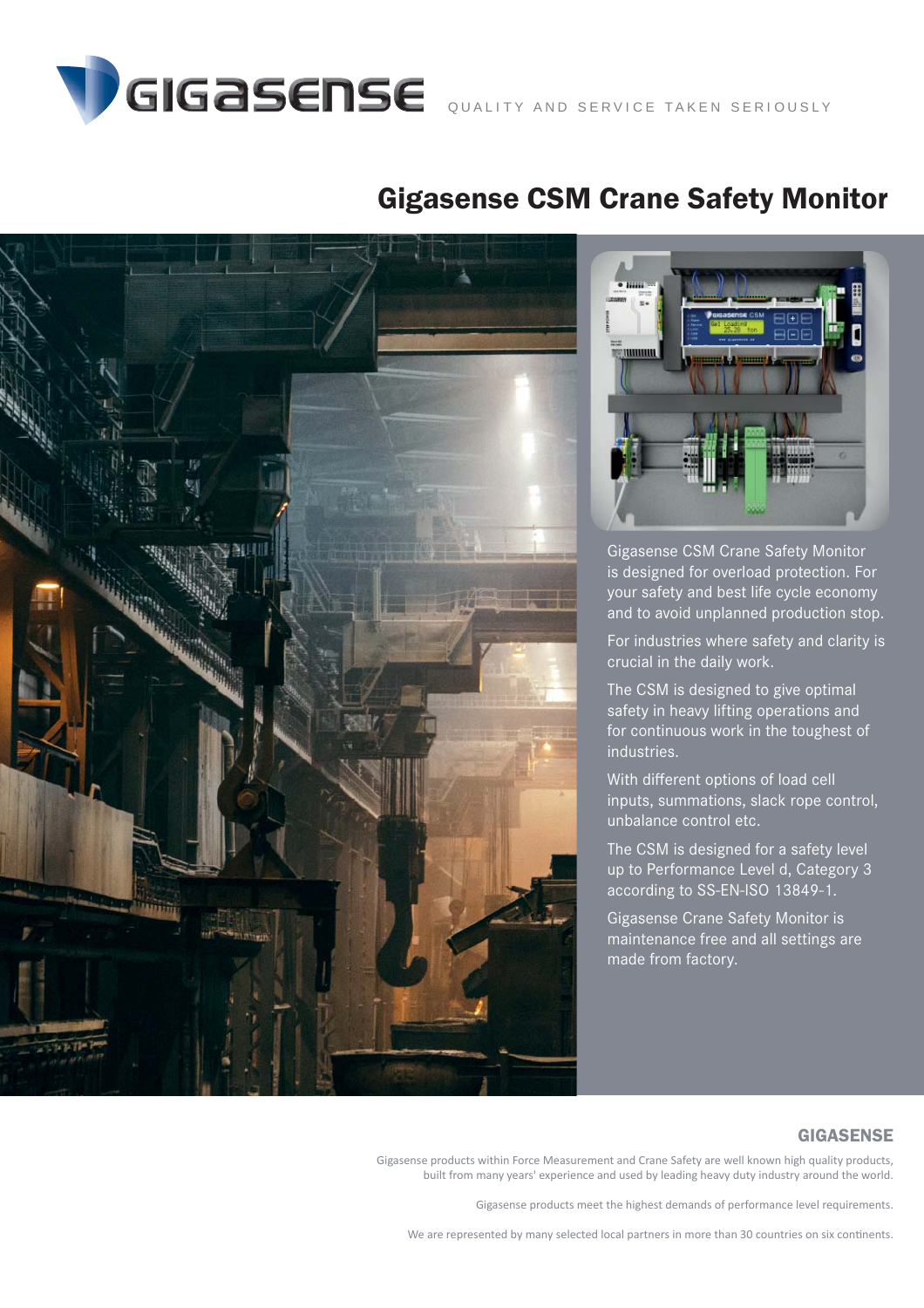

## Gigasense CSM Crane Safety Monitor





Gigasense CSM Crane Safety Monitor is designed for overload protection. For your safety and best life cycle economy and to avoid unplanned production stop.

For industries where safety and clarity is crucial in the daily work.

The CSM is designed to give optimal safety in heavy lifting operations and for continuous work in the toughest of industries.

With different options of load cell inputs, summations, slack rope control, unbalance control etc.

The CSM is designed for a safety level up to Performance Level d, Category 3 according to SS-EN-ISO 13849-1.

Gigasense Crane Safety Monitor is maintenance free and all settings are made from factory.

### GIGASENSE

Gigasense products within Force Measurement and Crane Safety are well known high quality products, built from many years' experience and used by leading heavy duty industry around the world.

Gigasense products meet the highest demands of performance level requirements.

We are represented by many selected local partners in more than 30 countries on six continents.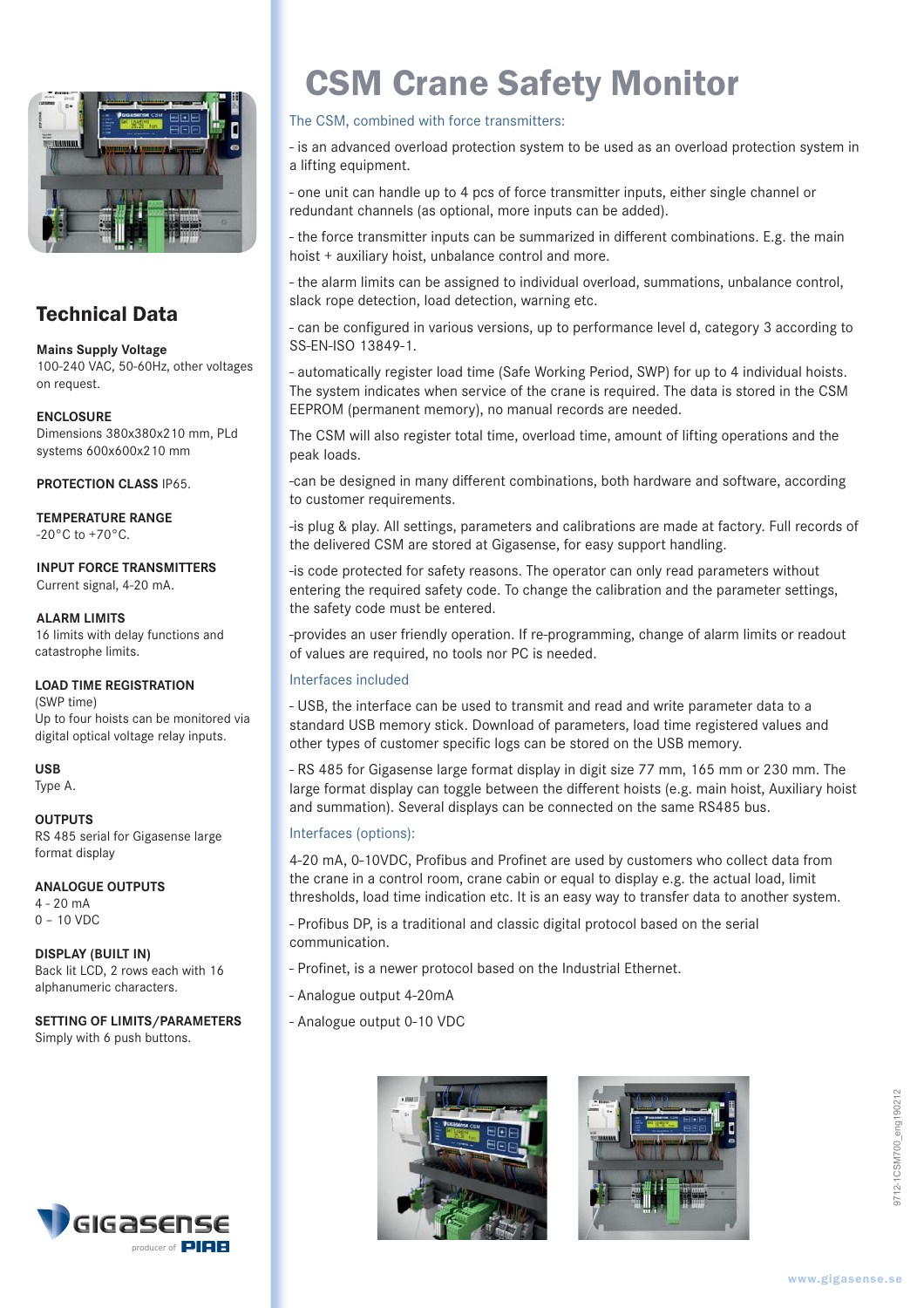

### Technical Data

**Mains Supply Voltage** 100-240 VAC, 50-60Hz, other voltages on request.

### **ENCLOSURE**

Dimensions 380x380x210 mm, PLd systems 600x600x210 mm

**PROTECTION CLASS** IP65.

#### **TEMPERATURE RANGE**  $-20^{\circ}$ C to  $+70^{\circ}$ C.

### **INPUT FORCE TRANSMITTERS** Current signal, 4-20 mA.

### **ALARM LIMITS**

16 limits with delay functions and catastrophe limits.

### **LOAD TIME REGISTRATION**

(SWP time) Up to four hoists can be monitored via digital optical voltage relay inputs.

**USB** Type A.

**OUTPUTS** RS 485 serial for Gigasense large format display

### **ANALOGUE OUTPUTS**

4 - 20 mA 0 – 10 VDC

**DISPLAY (BUILT IN)** Back lit LCD, 2 rows each with 16 alphanumeric characters.

### **SETTING OF LIMITS/PARAMETERS** Simply with 6 push buttons.



# CSM Crane Safety Monitor

### The CSM, combined with force transmitters:

- is an advanced overload protection system to be used as an overload protection system in a lifting equipment.

- one unit can handle up to 4 pcs of force transmitter inputs, either single channel or redundant channels (as optional, more inputs can be added).

- the force transmitter inputs can be summarized in different combinations. E.g. the main hoist + auxiliary hoist, unbalance control and more.

- the alarm limits can be assigned to individual overload, summations, unbalance control, slack rope detection, load detection, warning etc.

- can be configured in various versions, up to performance level d, category 3 according to SS-EN-ISO 13849-1.

- automatically register load time (Safe Working Period, SWP) for up to 4 individual hoists. The system indicates when service of the crane is required. The data is stored in the CSM EEPROM (permanent memory), no manual records are needed.

The CSM will also register total time, overload time, amount of lifting operations and the peak loads.

-can be designed in many different combinations, both hardware and software, according to customer requirements.

-is plug & play. All settings, parameters and calibrations are made at factory. Full records of the delivered CSM are stored at Gigasense, for easy support handling.

-is code protected for safety reasons. The operator can only read parameters without entering the required safety code. To change the calibration and the parameter settings, the safety code must be entered.

-provides an user friendly operation. If re-programming, change of alarm limits or readout of values are required, no tools nor PC is needed.

### Interfaces included

- USB, the interface can be used to transmit and read and write parameter data to a standard USB memory stick. Download of parameters, load time registered values and other types of customer specific logs can be stored on the USB memory.

- RS 485 for Gigasense large format display in digit size 77 mm, 165 mm or 230 mm. The large format display can toggle between the different hoists (e.g. main hoist, Auxiliary hoist and summation). Several displays can be connected on the same RS485 bus.

### Interfaces (options):

4-20 mA, 0-10VDC, Profibus and Profinet are used by customers who collect data from the crane in a control room, crane cabin or equal to display e.g. the actual load, limit thresholds, load time indication etc. It is an easy way to transfer data to another system.

- Profibus DP, is a traditional and classic digital protocol based on the serial communication.

- Profinet, is a newer protocol based on the Industrial Ethernet.
- Analogue output 4-20mA
- Analogue output 0-10 VDC



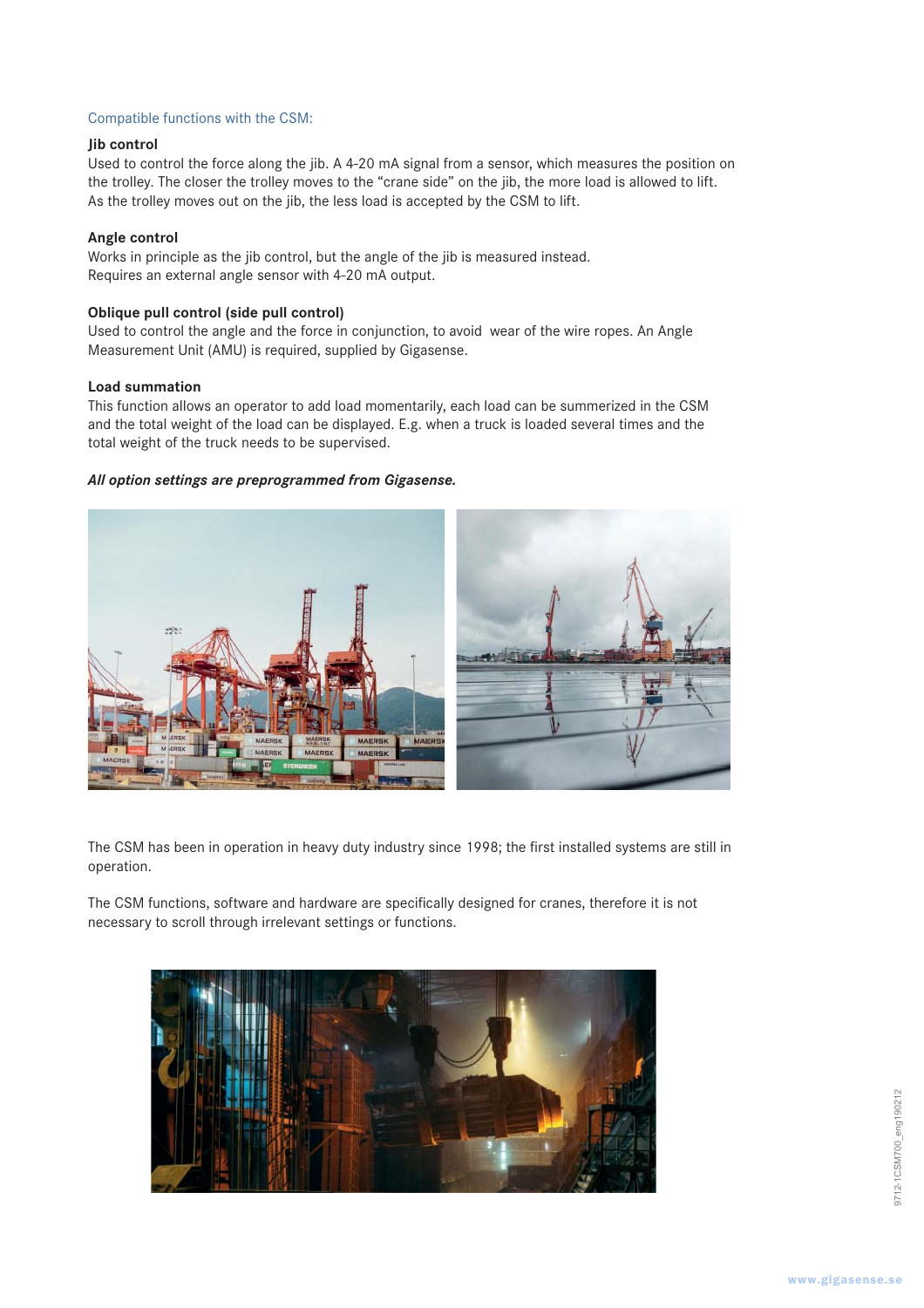### Compatible functions with the CSM:

### **Jib control**

Used to control the force along the jib. A 4-20 mA signal from a sensor, which measures the position on the trolley. The closer the trolley moves to the "crane side" on the jib, the more load is allowed to lift. As the trolley moves out on the jib, the less load is accepted by the CSM to lift.

### **Angle control**

Works in principle as the jib control, but the angle of the jib is measured instead. Requires an external angle sensor with 4-20 mA output.

### **Oblique pull control (side pull control)**

Used to control the angle and the force in conjunction, to avoid wear of the wire ropes. An Angle Measurement Unit (AMU) is required, supplied by Gigasense.

### **Load summation**

This function allows an operator to add load momentarily, each load can be summerized in the CSM and the total weight of the load can be displayed. E.g. when a truck is loaded several times and the total weight of the truck needs to be supervised.

### *All option settings are preprogrammed from Gigasense.*



The CSM has been in operation in heavy duty industry since 1998; the first installed systems are still in operation.

The CSM functions, software and hardware are specifically designed for cranes, therefore it is not necessary to scroll through irrelevant settings or functions.